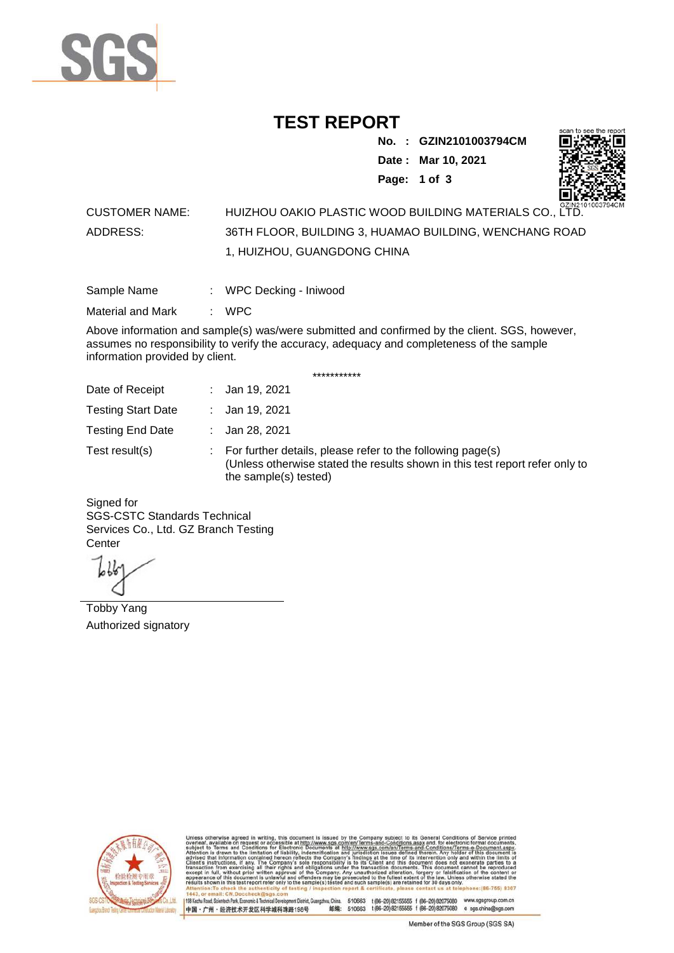

## **TEST REPORT**

**No. : GZIN2101003794CM Date : Mar 10, 2021 Page: 1 of 3** 



## CUSTOMER NAME: HUIZHOU OAKIO PLASTIC WOOD BUILDING MATERIALS CO., LTD. ADDRESS: 36TH FLOOR, BUILDING 3, HUAMAO BUILDING, WENCHANG ROAD 1, HUIZHOU, GUANGDONG CHINA

| Sample Name | WPC Decking - Iniwood |
|-------------|-----------------------|
|-------------|-----------------------|

Material and Mark : WPC

Above information and sample(s) was/were submitted and confirmed by the client. SGS, however, assumes no responsibility to verify the accuracy, adequacy and completeness of the sample information provided by client.

\*\*\*\*\*\*\*\*\*\*\*

| Date of Receipt           | : Jan 19, 2021                                                                                                                                                        |
|---------------------------|-----------------------------------------------------------------------------------------------------------------------------------------------------------------------|
| <b>Testing Start Date</b> | : Jan 19, 2021                                                                                                                                                        |
| <b>Testing End Date</b>   | : Jan 28, 2021                                                                                                                                                        |
| Test result(s)            | : For further details, please refer to the following page(s)<br>(Unless otherwise stated the results shown in this test report refer only to<br>the sample(s) tested) |

Signed for SGS-CSTC Standards Technical Services Co., Ltd. GZ Branch Testing **Center** 

Tobby Yang Authorized signatory



510663 t(86-20) 82155555 f (86-20) 82075080 www.sgsgroup.com.cn<br>510663 t(86-20) 82155555 f (86-20) 82075080 e sgs.china@sgs.com 198 Kezhu Road, Scientech Park, Economic & Technical Devel ngzhou, China. ant District G 邮编: 中国·广州·经济技术开发区科学城科珠路198号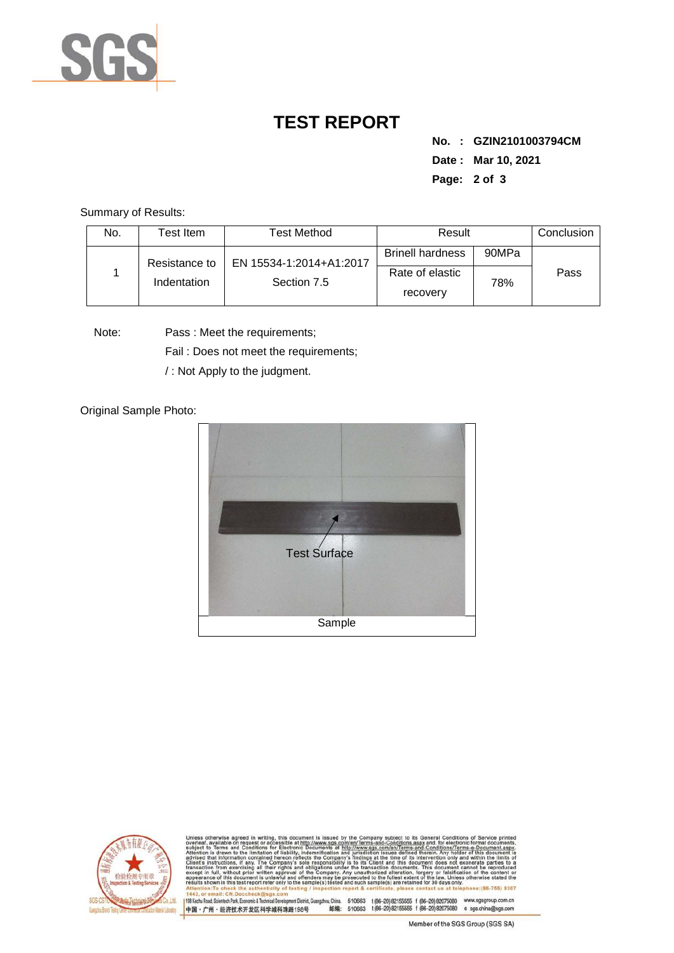

## **TEST REPORT**

**No. : GZIN2101003794CM Date : Mar 10, 2021 Page: 2 of 3** 

Summary of Results:

| No.                          | Test Item.              | <b>Test Method</b>      | Result                      |     | Conclusion |
|------------------------------|-------------------------|-------------------------|-----------------------------|-----|------------|
| Resistance to<br>Indentation | EN 15534-1:2014+A1:2017 | <b>Brinell hardness</b> | 90MPa                       |     |            |
|                              |                         | Section 7.5             | Rate of elastic<br>recovery | 78% | Pass       |

Note: Pass : Meet the requirements;

Fail : Does not meet the requirements;

/ : Not Apply to the judgment.

Original Sample Photo:





Conditions/Terms-e-Do<br>rein. Anv.holder.of.thi nentDistrict,Guangzhou,China. 510663 t (86–20) 82155555 f (86–20) 82075080 www.sgsgroup.com.cn<br>格198号 邮编: 510663 t (86–20) 82155555 f (86–20) 82075080 e sgs.china@sgs.com 198 Kezhu Road, Scientech Park, Economic & Technical Develo 中国·广州·经济技术开发区科学城科珠路198号